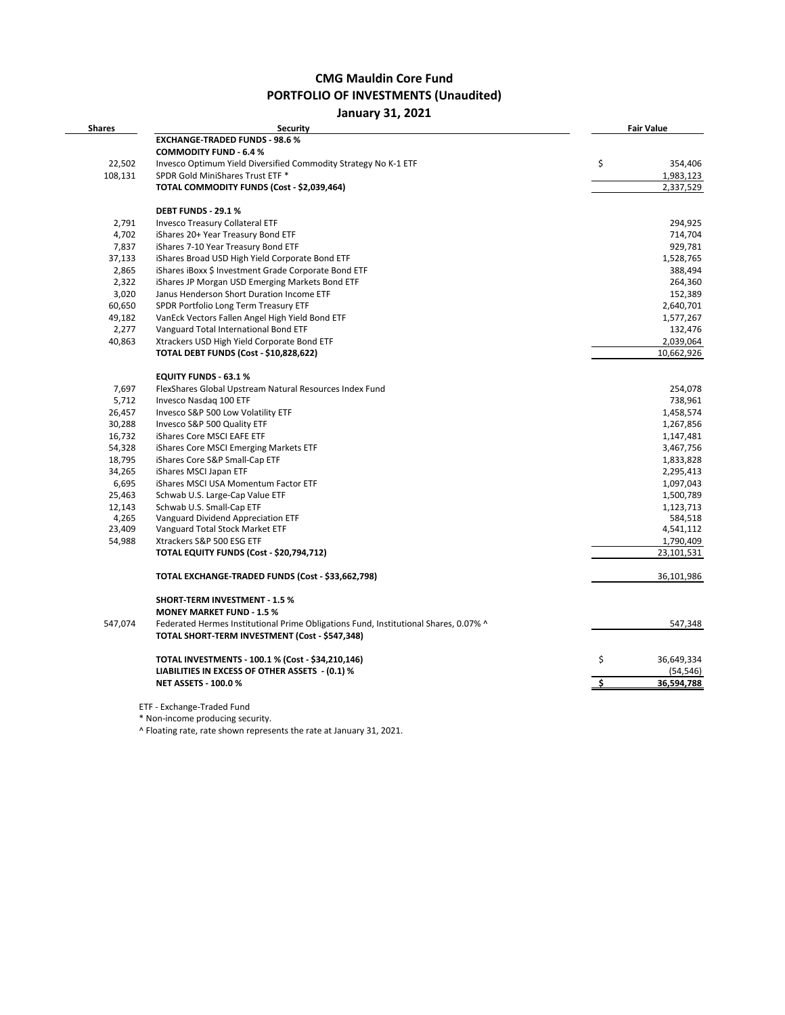## **CMG Mauldin Core Fund PORTFOLIO OF INVESTMENTS (Unaudited)**

## **January 31, 2021**

| <b>Shares</b> | <b>Security</b>                                                                      | <b>Fair Value</b> |
|---------------|--------------------------------------------------------------------------------------|-------------------|
|               | <b>EXCHANGE-TRADED FUNDS - 98.6 %</b>                                                |                   |
|               | <b>COMMODITY FUND - 6.4 %</b>                                                        |                   |
| 22,502        | Invesco Optimum Yield Diversified Commodity Strategy No K-1 ETF                      | \$<br>354,406     |
| 108,131       | SPDR Gold MiniShares Trust ETF *                                                     | 1,983,123         |
|               | TOTAL COMMODITY FUNDS (Cost - \$2,039,464)                                           | 2,337,529         |
|               |                                                                                      |                   |
|               | <b>DEBT FUNDS - 29.1 %</b>                                                           |                   |
| 2,791         | <b>Invesco Treasury Collateral ETF</b>                                               | 294,925           |
| 4,702         | iShares 20+ Year Treasury Bond ETF                                                   | 714,704           |
| 7,837         | iShares 7-10 Year Treasury Bond ETF                                                  | 929,781           |
| 37,133        | iShares Broad USD High Yield Corporate Bond ETF                                      | 1,528,765         |
| 2,865         | iShares iBoxx \$ Investment Grade Corporate Bond ETF                                 | 388,494           |
| 2,322         | iShares JP Morgan USD Emerging Markets Bond ETF                                      | 264,360           |
| 3,020         | Janus Henderson Short Duration Income ETF                                            | 152,389           |
| 60,650        | SPDR Portfolio Long Term Treasury ETF                                                | 2,640,701         |
| 49,182        | VanEck Vectors Fallen Angel High Yield Bond ETF                                      | 1,577,267         |
| 2,277         | Vanguard Total International Bond ETF                                                | 132,476           |
| 40,863        | Xtrackers USD High Yield Corporate Bond ETF                                          | 2,039,064         |
|               | <b>TOTAL DEBT FUNDS (Cost - \$10,828,622)</b>                                        | 10,662,926        |
|               |                                                                                      |                   |
|               | <b>EQUITY FUNDS - 63.1%</b>                                                          |                   |
| 7,697         | FlexShares Global Upstream Natural Resources Index Fund                              | 254,078           |
| 5,712         | Invesco Nasdaq 100 ETF                                                               | 738,961           |
| 26,457        | Invesco S&P 500 Low Volatility ETF                                                   | 1,458,574         |
| 30,288        | Invesco S&P 500 Quality ETF                                                          | 1,267,856         |
| 16,732        | iShares Core MSCI EAFE ETF                                                           | 1,147,481         |
| 54,328        | iShares Core MSCI Emerging Markets ETF                                               | 3,467,756         |
| 18,795        | iShares Core S&P Small-Cap ETF                                                       | 1,833,828         |
| 34,265        | iShares MSCI Japan ETF                                                               | 2,295,413         |
| 6,695         | iShares MSCI USA Momentum Factor ETF                                                 | 1,097,043         |
| 25,463        | Schwab U.S. Large-Cap Value ETF                                                      | 1,500,789         |
| 12,143        | Schwab U.S. Small-Cap ETF                                                            | 1,123,713         |
| 4,265         | Vanguard Dividend Appreciation ETF                                                   | 584,518           |
| 23,409        | Vanguard Total Stock Market ETF                                                      | 4,541,112         |
| 54,988        | Xtrackers S&P 500 ESG ETF                                                            | 1,790,409         |
|               | TOTAL EQUITY FUNDS (Cost - \$20,794,712)                                             | 23,101,531        |
|               | TOTAL EXCHANGE-TRADED FUNDS (Cost - \$33,662,798)                                    | 36,101,986        |
|               | <b>SHORT-TERM INVESTMENT - 1.5 %</b>                                                 |                   |
|               | <b>MONEY MARKET FUND - 1.5 %</b>                                                     |                   |
| 547,074       | Federated Hermes Institutional Prime Obligations Fund, Institutional Shares, 0.07% ^ | 547,348           |
|               | TOTAL SHORT-TERM INVESTMENT (Cost - \$547,348)                                       |                   |
|               | TOTAL INVESTMENTS - 100.1 % (Cost - \$34,210,146)                                    | \$<br>36,649,334  |
|               | LIABILITIES IN EXCESS OF OTHER ASSETS - (0.1) %                                      | (54, 546)         |
|               | <b>NET ASSETS - 100.0 %</b>                                                          | 36,594,788        |
|               |                                                                                      |                   |
|               | ETF - Exchange-Traded Fund                                                           |                   |

\* Non-income producing security.

^ Floating rate, rate shown represents the rate at January 31, 2021.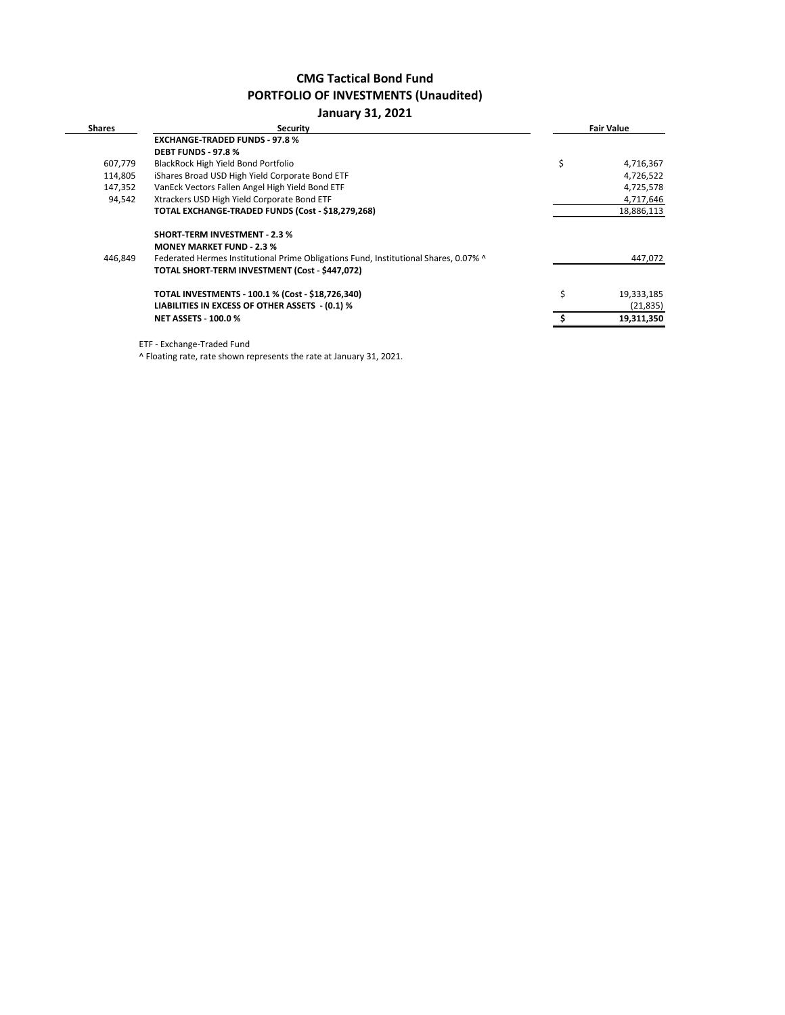## **CMG Tactical Bond Fund PORTFOLIO OF INVESTMENTS (Unaudited)**

## **January 31, 2021**

| <b>Shares</b> | <b>Security</b>                                                                      | <b>Fair Value</b> |
|---------------|--------------------------------------------------------------------------------------|-------------------|
|               | <b>EXCHANGE-TRADED FUNDS - 97.8 %</b>                                                |                   |
|               | <b>DEBT FUNDS - 97.8 %</b>                                                           |                   |
| 607,779       | BlackRock High Yield Bond Portfolio                                                  | \$<br>4,716,367   |
| 114,805       | iShares Broad USD High Yield Corporate Bond ETF                                      | 4,726,522         |
| 147,352       | VanEck Vectors Fallen Angel High Yield Bond ETF                                      | 4,725,578         |
| 94,542        | Xtrackers USD High Yield Corporate Bond ETF                                          | 4,717,646         |
|               | TOTAL EXCHANGE-TRADED FUNDS (Cost - \$18,279,268)                                    | 18,886,113        |
|               | <b>SHORT-TERM INVESTMENT - 2.3 %</b>                                                 |                   |
|               | <b>MONEY MARKET FUND - 2.3 %</b>                                                     |                   |
| 446,849       | Federated Hermes Institutional Prime Obligations Fund, Institutional Shares, 0.07% ^ | 447,072           |
|               | TOTAL SHORT-TERM INVESTMENT (Cost - \$447,072)                                       |                   |
|               | TOTAL INVESTMENTS - 100.1 % (Cost - \$18,726,340)                                    | \$<br>19,333,185  |
|               | LIABILITIES IN EXCESS OF OTHER ASSETS - (0.1) %                                      | (21, 835)         |
|               | <b>NET ASSETS - 100.0 %</b>                                                          | 19,311,350        |

ETF - Exchange-Traded Fund

^ Floating rate, rate shown represents the rate at January 31, 2021.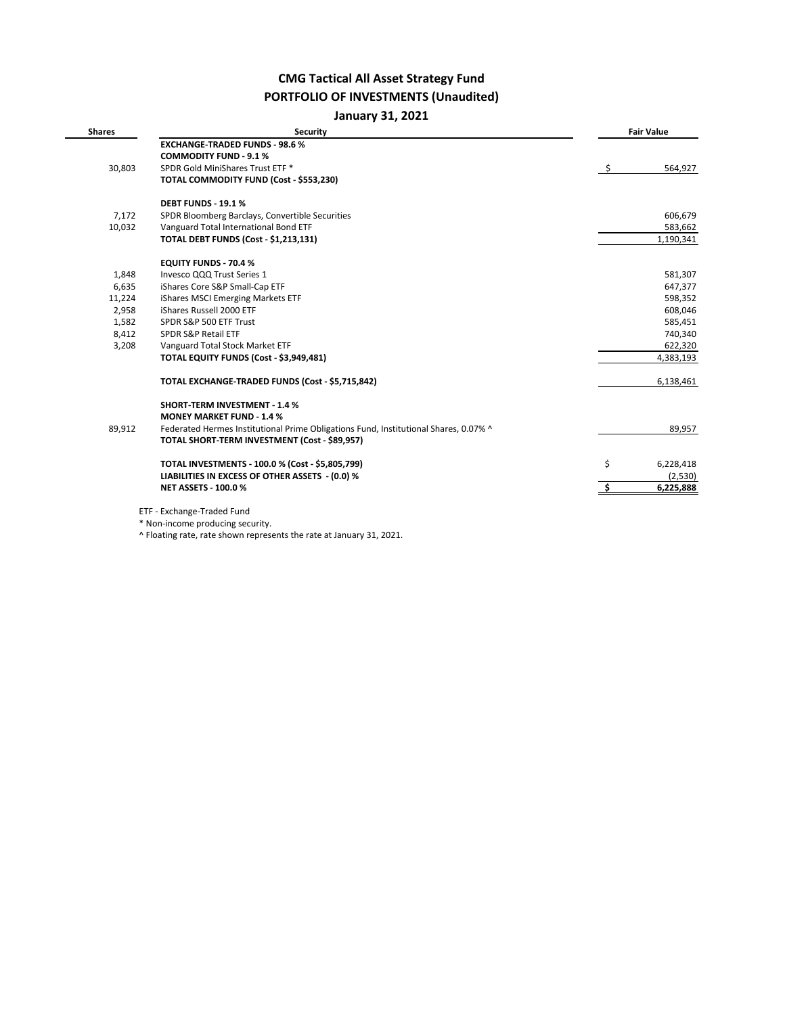# **CMG Tactical All Asset Strategy Fund PORTFOLIO OF INVESTMENTS (Unaudited)**

**January 31, 2021**

| <b>Shares</b> | <b>Security</b>                                                                      | <b>Fair Value</b> |
|---------------|--------------------------------------------------------------------------------------|-------------------|
|               | <b>EXCHANGE-TRADED FUNDS - 98.6 %</b>                                                |                   |
|               | <b>COMMODITY FUND - 9.1 %</b>                                                        |                   |
| 30,803        | SPDR Gold MiniShares Trust ETF *                                                     | \$<br>564,927     |
|               | TOTAL COMMODITY FUND (Cost - \$553,230)                                              |                   |
|               | <b>DEBT FUNDS - 19.1%</b>                                                            |                   |
| 7,172         | SPDR Bloomberg Barclays, Convertible Securities                                      | 606,679           |
| 10,032        | Vanguard Total International Bond ETF                                                | 583,662           |
|               | <b>TOTAL DEBT FUNDS (Cost - \$1,213,131)</b>                                         | 1,190,341         |
|               | <b>EQUITY FUNDS - 70.4 %</b>                                                         |                   |
| 1,848         | Invesco QQQ Trust Series 1                                                           | 581,307           |
| 6,635         | iShares Core S&P Small-Cap ETF                                                       | 647,377           |
| 11,224        | iShares MSCI Emerging Markets ETF                                                    | 598,352           |
| 2,958         | iShares Russell 2000 ETF                                                             | 608,046           |
| 1,582         | SPDR S&P 500 ETF Trust                                                               | 585,451           |
| 8,412         | SPDR S&P Retail ETF                                                                  | 740,340           |
| 3,208         | Vanguard Total Stock Market ETF                                                      | 622,320           |
|               | TOTAL EQUITY FUNDS (Cost - \$3,949,481)                                              | 4,383,193         |
|               | TOTAL EXCHANGE-TRADED FUNDS (Cost - \$5,715,842)                                     | 6,138,461         |
|               | <b>SHORT-TERM INVESTMENT - 1.4 %</b>                                                 |                   |
|               | <b>MONEY MARKET FUND - 1.4 %</b>                                                     |                   |
| 89,912        | Federated Hermes Institutional Prime Obligations Fund, Institutional Shares, 0.07% ^ | 89,957            |
|               | TOTAL SHORT-TERM INVESTMENT (Cost - \$89,957)                                        |                   |
|               | TOTAL INVESTMENTS - 100.0 % (Cost - \$5,805,799)                                     | \$<br>6,228,418   |
|               | LIABILITIES IN EXCESS OF OTHER ASSETS - (0.0) %                                      | (2,530)           |
|               | <b>NET ASSETS - 100.0 %</b>                                                          | 6,225,888         |
|               | ETF - Exchange-Traded Fund                                                           |                   |
|               | $*$ Non income producing coourity                                                    |                   |

\* Non-income producing security.

^ Floating rate, rate shown represents the rate at January 31, 2021.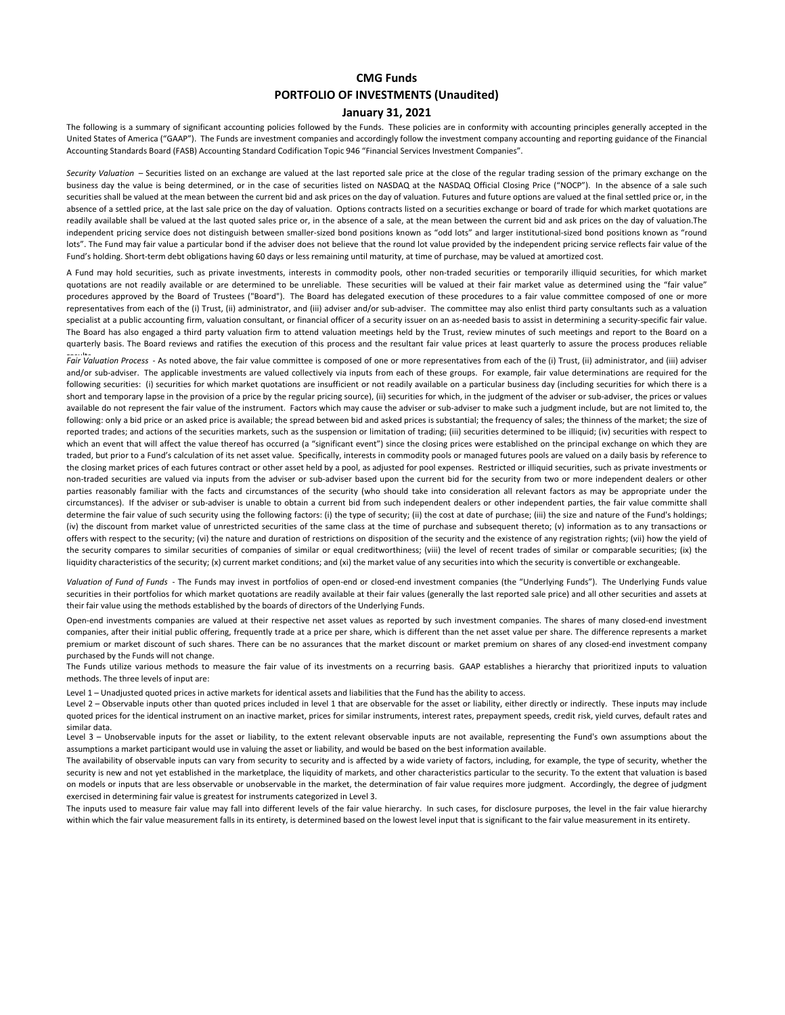### **CMG Funds PORTFOLIO OF INVESTMENTS (Unaudited)**

### **January 31, 2021**

The following is a summary of significant accounting policies followed by the Funds. These policies are in conformity with accounting principles generally accepted in the United States of America ("GAAP"). The Funds are investment companies and accordingly follow the investment company accounting and reporting guidance of the Financial Accounting Standards Board (FASB) Accounting Standard Codification Topic 946 "Financial Services Investment Companies".

*Security Valuation* – Securities listed on an exchange are valued at the last reported sale price at the close of the regular trading session of the primary exchange on the business day the value is being determined, or in the case of securities listed on NASDAQ at the NASDAQ Official Closing Price ("NOCP"). In the absence of a sale such securities shall be valued at the mean between the current bid and ask prices on the day of valuation. Futures and future options are valued at the final settled price or, in the absence of a settled price, at the last sale price on the day of valuation. Options contracts listed on a securities exchange or board of trade for which market quotations are readily available shall be valued at the last quoted sales price or, in the absence of a sale, at the mean between the current bid and ask prices on the day of valuation.The independent pricing service does not distinguish between smaller-sized bond positions known as "odd lots" and larger institutional-sized bond positions known as "round lots". The Fund may fair value a particular bond if the adviser does not believe that the round lot value provided by the independent pricing service reflects fair value of the Fund's holding. Short‐term debt obligations having 60 days or less remaining until maturity, at time of purchase, may be valued at amortized cost.

A Fund may hold securities, such as private investments, interests in commodity pools, other non-traded securities or temporarily illiquid securities, for which market quotations are not readily available or are determined to be unreliable. These securities will be valued at their fair market value as determined using the "fair value" procedures approved by the Board of Trustees ("Board"). The Board has delegated execution of these procedures to a fair value committee composed of one or more representatives from each of the (i) Trust, (ii) administrator, and (iii) adviser and/or sub-adviser. The committee may also enlist third party consultants such as a valuation specialist at a public accounting firm, valuation consultant, or financial officer of a security issuer on an as-needed basis to assist in determining a security-specific fair value. The Board has also engaged a third party valuation firm to attend valuation meetings held by the Trust, review minutes of such meetings and report to the Board on a quarterly basis. The Board reviews and ratifies the execution of this process and the resultant fair value prices at least quarterly to assure the process produces reliable

Fair Valuation Process - As noted above, the fair value committee is composed of one or more representatives from each of the (i) Trust, (ii) administrator, and (iii) adviser and/or sub-adviser. The applicable investments are valued collectively via inputs from each of these groups. For example, fair value determinations are required for the following securities: (i) securities for which market quotations are insufficient or not readily available on a particular business day (including securities for which there is a short and temporary lapse in the provision of a price by the regular pricing source), (ii) securities for which, in the judgment of the adviser or sub-adviser, the prices or values available do not represent the fair value of the instrument. Factors which may cause the adviser or sub-adviser to make such a judgment include, but are not limited to, the following: only a bid price or an asked price is available; the spread between bid and asked prices is substantial; the frequency of sales; the thinness of the market; the size of reported trades; and actions of the securities markets, such as the suspension or limitation of trading; (iii) securities determined to be illiquid; (iv) securities with respect to which an event that will affect the value thereof has occurred (a "significant event") since the closing prices were established on the principal exchange on which they are traded, but prior to a Fund's calculation of its net asset value. Specifically, interests in commodity pools or managed futures pools are valued on a daily basis by reference to the closing market prices of each futures contract or other asset held by a pool, as adjusted for pool expenses. Restricted or illiquid securities, such as private investments or non-traded securities are valued via inputs from the adviser or sub-adviser based upon the current bid for the security from two or more independent dealers or other parties reasonably familiar with the facts and circumstances of the security (who should take into consideration all relevant factors as may be appropriate under the circumstances). If the adviser or sub-adviser is unable to obtain a current bid from such independent dealers or other independent parties, the fair value committe shall determine the fair value of such security using the following factors: (i) the type of security; (ii) the cost at date of purchase; (iii) the size and nature of the Fund's holdings; (iv) the discount from market value of unrestricted securities of the same class at the time of purchase and subsequent thereto; (v) information as to any transactions or offers with respect to the security; (vi) the nature and duration of restrictions on disposition of the security and the existence of any registration rights; (vii) how the yield of the security compares to similar securities of companies of similar or equal creditworthiness; (viii) the level of recent trades of similar or comparable securities; (ix) the liquidity characteristics of the security; (x) current market conditions; and (xi) the market value of any securities into which the security is convertible or exchangeable.

*Valuation of Fund of Funds* - The Funds may invest in portfolios of open-end or closed-end investment companies (the "Underlying Funds"). The Underlying Funds value securities in their portfolios for which market quotations are readily available at their fair values (generally the last reported sale price) and all other securities and assets at their fair value using the methods established by the boards of directors of the Underlying Funds.

Open-end investments companies are valued at their respective net asset values as reported by such investment companies. The shares of many closed-end investment companies, after their initial public offering, frequently trade at a price per share, which is different than the net asset value per share. The difference represents a market premium or market discount of such shares. There can be no assurances that the market discount or market premium on shares of any closed-end investment company purchased by the Funds will not change.

The Funds utilize various methods to measure the fair value of its investments on a recurring basis. GAAP establishes a hierarchy that prioritized inputs to valuation methods. The three levels of input are:

Level 1 – Unadjusted quoted prices in active markets for identical assets and liabilities that the Fund has the ability to access.

Level 2 – Observable inputs other than quoted prices included in level 1 that are observable for the asset or liability, either directly or indirectly. These inputs may include quoted prices for the identical instrument on an inactive market, prices for similar instruments, interest rates, prepayment speeds, credit risk, yield curves, default rates and similar data.

Level 3 - Unobservable inputs for the asset or liability, to the extent relevant observable inputs are not available, representing the Fund's own assumptions about the assumptions a market participant would use in valuing the asset or liability, and would be based on the best information available.

The availability of observable inputs can vary from security to security and is affected by a wide variety of factors, including, for example, the type of security, whether the security is new and not yet established in the marketplace, the liquidity of markets, and other characteristics particular to the security. To the extent that valuation is based on models or inputs that are less observable or unobservable in the market, the determination of fair value requires more judgment. Accordingly, the degree of judgment exercised in determining fair value is greatest for instruments categorized in Level 3.

The inputs used to measure fair value may fall into different levels of the fair value hierarchy. In such cases, for disclosure purposes, the level in the fair value hierarchy within which the fair value measurement falls in its entirety, is determined based on the lowest level input that is significant to the fair value measurement in its entirety.